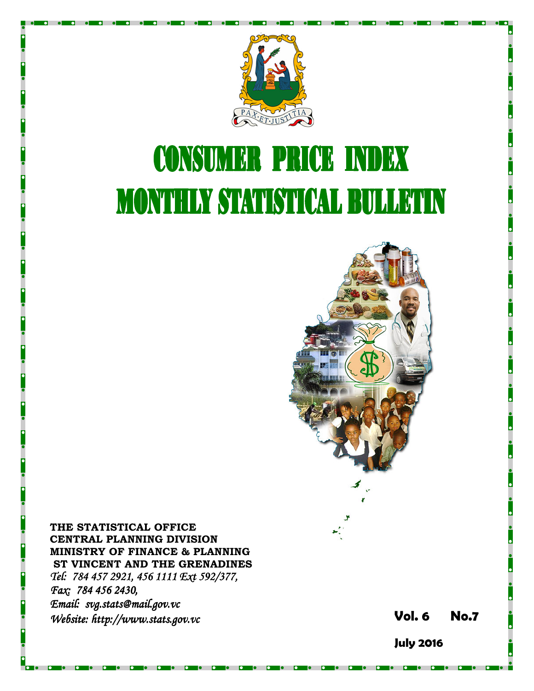

# **CONSUMER PRICE INDEX MONTHLY STATISTICAL BULLETIN**



THE STATISTICAL OFFICE CENTRAL PLANNING DIVISION MINISTRY OF FINANCE & PLANNING ST VINCENT AND THE GRENADINES Tel: 784 457 2921, 456 1111 Ext 592/377, Fax: 784 456 2430, Email: svg.stats@mail.gov.vc Website: http://www.stats.gov.vc **Stats.gov.vc** Stats.gov.vc Stats.gov.vc Vol. 6 No.7

July 2016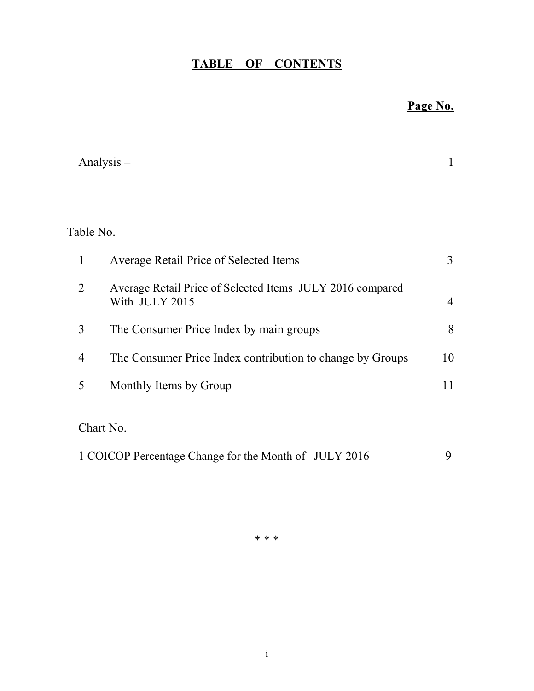## TABLE OF CONTENTS

## Page No.

|                | Analysis $-$                                                                | 1              |
|----------------|-----------------------------------------------------------------------------|----------------|
|                |                                                                             |                |
| Table No.      |                                                                             |                |
| 1              | Average Retail Price of Selected Items                                      | 3              |
| $\overline{2}$ | Average Retail Price of Selected Items JULY 2016 compared<br>With JULY 2015 | $\overline{4}$ |
| 3              | The Consumer Price Index by main groups                                     | 8              |
| $\overline{4}$ | The Consumer Price Index contribution to change by Groups                   | 10             |
| 5              | Monthly Items by Group                                                      | 11             |
|                | Chart No.                                                                   |                |
|                | 1 COICOP Percentage Change for the Month of JULY 2016                       | 9              |

\* \* \*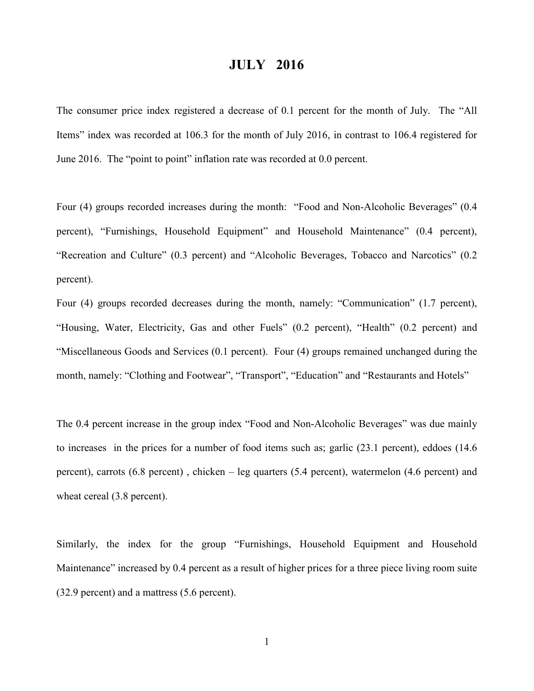### JULY 2016

The consumer price index registered a decrease of 0.1 percent for the month of July. The "All Items" index was recorded at 106.3 for the month of July 2016, in contrast to 106.4 registered for June 2016. The "point to point" inflation rate was recorded at 0.0 percent.

Four (4) groups recorded increases during the month: "Food and Non-Alcoholic Beverages" (0.4 percent), "Furnishings, Household Equipment" and Household Maintenance" (0.4 percent), "Recreation and Culture" (0.3 percent) and "Alcoholic Beverages, Tobacco and Narcotics" (0.2 percent).

Four (4) groups recorded decreases during the month, namely: "Communication" (1.7 percent), "Housing, Water, Electricity, Gas and other Fuels" (0.2 percent), "Health" (0.2 percent) and "Miscellaneous Goods and Services (0.1 percent). Four (4) groups remained unchanged during the month, namely: "Clothing and Footwear", "Transport", "Education" and "Restaurants and Hotels"

The 0.4 percent increase in the group index "Food and Non-Alcoholic Beverages" was due mainly to increases in the prices for a number of food items such as; garlic (23.1 percent), eddoes (14.6 percent), carrots (6.8 percent) , chicken – leg quarters (5.4 percent), watermelon (4.6 percent) and wheat cereal  $(3.8$  percent).

Similarly, the index for the group "Furnishings, Household Equipment and Household Maintenance" increased by 0.4 percent as a result of higher prices for a three piece living room suite (32.9 percent) and a mattress (5.6 percent).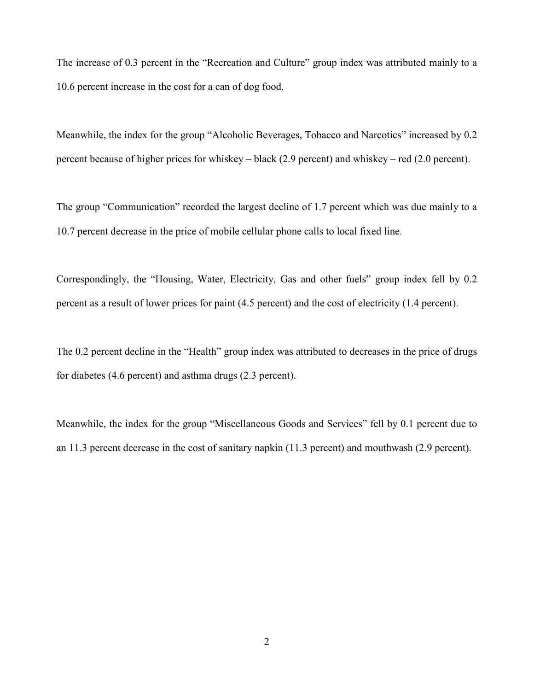The increase of 0.3 percent in the "Recreation and Culture" group index was attributed mainly to a 10.6 percent increase in the cost for a can of dog food.

Meanwhile, the index for the group "Alcoholic Beverages, Tobacco and Narcotics" increased by 0.2 percent because of higher prices for whiskey – black (2.9 percent) and whiskey – red (2.0 percent).

The group "Communication" recorded the largest decline of 1.7 percent which was due mainly to a 10.7 percent decrease in the price of mobile cellular phone calls to local fixed line.

Correspondingly, the "Housing, Water, Electricity, Gas and other fuels" group index fell by 0.2 percent as a result of lower prices for paint (4.5 percent) and the cost of electricity (1.4 percent).

The 0.2 percent decline in the "Health" group index was attributed to decreases in the price of drugs for diabetes (4.6 percent) and asthma drugs (2.3 percent).

Meanwhile, the index for the group "Miscellaneous Goods and Services" fell by 0.1 percent due to an 11.3 percent decrease in the cost of sanitary napkin (11.3 percent) and mouthwash (2.9 percent).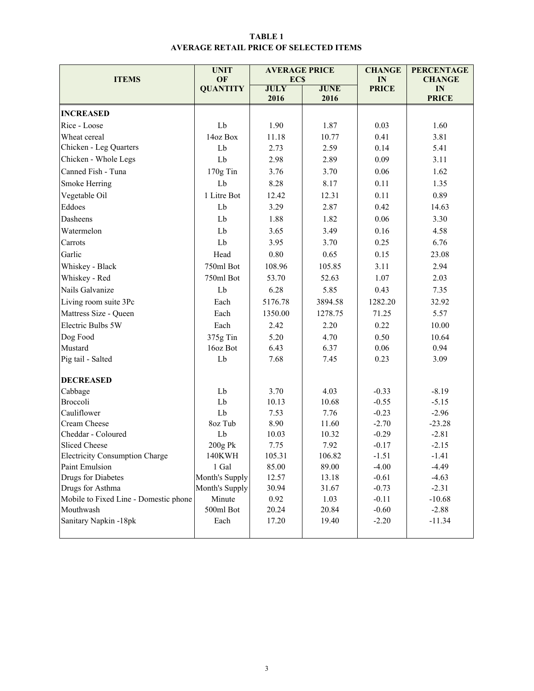#### TABLE 1 AVERAGE RETAIL PRICE OF SELECTED ITEMS

|                                       | <b>UNIT</b>           | <b>AVERAGE PRICE</b>      |              | <b>CHANGE</b>      | <b>PERCENTAGE</b>   |
|---------------------------------------|-----------------------|---------------------------|--------------|--------------------|---------------------|
| <b>ITEMS</b>                          | OF<br><b>QUANTITY</b> | <b>ECS</b><br><b>JULY</b> | <b>JUNE</b>  | IN<br><b>PRICE</b> | <b>CHANGE</b><br>IN |
|                                       |                       | 2016                      | 2016         |                    | <b>PRICE</b>        |
| <b>INCREASED</b>                      |                       |                           |              |                    |                     |
| Rice - Loose                          | Lb                    | 1.90                      | 1.87         | 0.03               | 1.60                |
| Wheat cereal                          | 14oz Box              | 11.18                     | 10.77        | 0.41               | 3.81                |
| Chicken - Leg Quarters                | Lb                    | 2.73                      | 2.59         | 0.14               | 5.41                |
| Chicken - Whole Legs                  | Lb                    | 2.98                      | 2.89         | 0.09               | 3.11                |
| Canned Fish - Tuna                    | 170g Tin              | 3.76                      | 3.70         | 0.06               | 1.62                |
| Smoke Herring                         | Lb                    | 8.28                      | 8.17         | 0.11               | 1.35                |
| Vegetable Oil                         | 1 Litre Bot           | 12.42                     | 12.31        | 0.11               | 0.89                |
| Eddoes                                | Lb                    | 3.29                      | 2.87         | 0.42               | 14.63               |
| Dasheens                              | Lb                    | 1.88                      | 1.82         | 0.06               | 3.30                |
| Watermelon                            | Lb                    | 3.65                      | 3.49         | 0.16               | 4.58                |
| Carrots                               | Lb                    | 3.95                      | 3.70         | 0.25               | 6.76                |
| Garlic                                | Head                  | $0.80\,$                  | 0.65         | 0.15               | 23.08               |
| Whiskey - Black                       | 750ml Bot             | 108.96                    | 105.85       | 3.11               | 2.94                |
| Whiskey - Red                         | 750ml Bot             | 53.70                     | 52.63        | 1.07               | 2.03                |
| Nails Galvanize                       | Lb                    | 6.28                      | 0.43<br>5.85 |                    | 7.35                |
| Living room suite 3Pc                 | Each                  | 5176.78                   | 3894.58      | 1282.20            | 32.92               |
| Mattress Size - Queen                 | Each                  | 1350.00                   | 1278.75      | 71.25              | 5.57                |
| Electric Bulbs 5W                     | Each                  | 2.42                      | 2.20         | 0.22               | 10.00               |
| Dog Food                              | 375g Tin              | 5.20                      | 4.70         | 0.50               | 10.64               |
| Mustard                               | 16oz Bot              | 6.43                      | 6.37         | 0.06               | 0.94                |
| Pig tail - Salted                     | Lb                    | 7.68                      | 7.45         | 0.23               | 3.09                |
|                                       |                       |                           |              |                    |                     |
| <b>DECREASED</b>                      |                       |                           |              |                    |                     |
| Cabbage                               | Lb                    | 3.70                      | 4.03         | $-0.33$            | $-8.19$             |
| Broccoli                              | Lb                    | 10.13                     | 10.68        | $-0.55$            | $-5.15$             |
| Cauliflower                           | Lb                    | 7.53                      | 7.76         | $-0.23$            | $-2.96$             |
| Cream Cheese                          | 8oz Tub               | 8.90                      | 11.60        | $-2.70$            | $-23.28$            |
| Cheddar - Coloured                    | Lb                    | 10.03                     | 10.32        | $-0.29$            | $-2.81$             |
| <b>Sliced Cheese</b>                  | 200g Pk               | 7.75                      | 7.92         | $-0.17$            | $-2.15$             |
| <b>Electricity Consumption Charge</b> | 140KWH                | 105.31<br>85.00           | 106.82       | $-1.51$            | $-1.41$             |
| Paint Emulsion                        | 1 Gal                 |                           | 89.00        | $-4.00$            | $-4.49$             |
| Drugs for Diabetes                    | Month's Supply        | 12.57                     | 13.18        | $-0.61$            | $-4.63$             |
| Drugs for Asthma<br>Month's Supply    |                       | 30.94                     | 31.67        | $-0.73$            | $-2.31$             |
| Mobile to Fixed Line - Domestic phone | Minute                | 0.92                      | 1.03         | $-0.11$            | $-10.68$            |
| Mouthwash                             | 500ml Bot             | 20.24                     | 20.84        | $-0.60$            | $-2.88$             |
| Sanitary Napkin -18pk                 | Each                  | 17.20                     | 19.40        | $-2.20$            | $-11.34$            |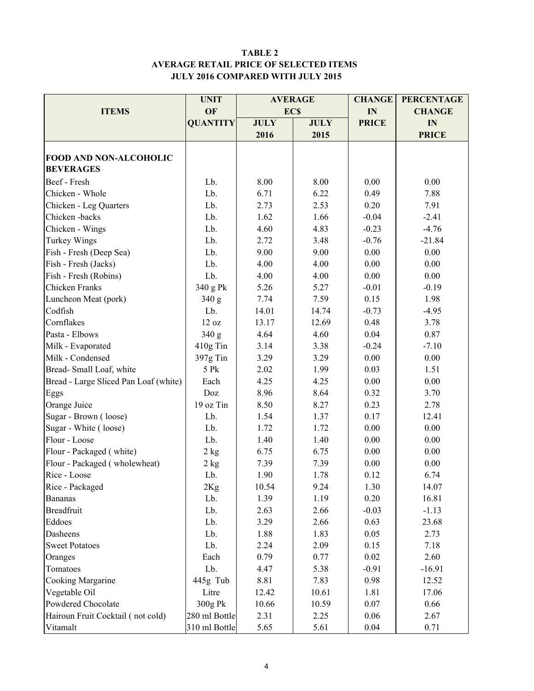#### TABLE 2 AVERAGE RETAIL PRICE OF SELECTED ITEMS JULY 2016 COMPARED WITH JULY 2015

|                                       | <b>UNIT</b>     |             | <b>AVERAGE</b> | <b>CHANGE</b> | <b>PERCENTAGE</b> |  |
|---------------------------------------|-----------------|-------------|----------------|---------------|-------------------|--|
| <b>ITEMS</b>                          | OF              |             | <b>ECS</b>     | IN            | <b>CHANGE</b>     |  |
|                                       | <b>QUANTITY</b> | <b>JULY</b> | <b>JULY</b>    | <b>PRICE</b>  | IN                |  |
|                                       |                 | 2016        | 2015           |               | <b>PRICE</b>      |  |
|                                       |                 |             |                |               |                   |  |
| FOOD AND NON-ALCOHOLIC                |                 |             |                |               |                   |  |
| <b>BEVERAGES</b>                      |                 |             |                |               |                   |  |
| Beef - Fresh                          | Lb.             | 8.00        | 8.00           | 0.00          | 0.00              |  |
| Chicken - Whole                       | Lb.             | 6.71        | 6.22           | 0.49          | 7.88              |  |
| Chicken - Leg Quarters                | Lb.             | 2.73        | 2.53           | 0.20          | 7.91              |  |
| Chicken-backs                         | Lb.             | 1.62        | 1.66           | $-0.04$       | $-2.41$           |  |
| Chicken - Wings                       | Lb.             | 4.60        | 4.83           | $-0.23$       | $-4.76$           |  |
| Turkey Wings                          | Lb.             | 2.72        | 3.48           | $-0.76$       | $-21.84$          |  |
| Fish - Fresh (Deep Sea)               | Lb.             | 9.00        | 9.00           | 0.00          | 0.00              |  |
| Fish - Fresh (Jacks)                  | Lb.             | 4.00        | 4.00           | 0.00          | 0.00              |  |
| Fish - Fresh (Robins)                 | Lb.             | 4.00        | 4.00           | 0.00          | 0.00              |  |
| Chicken Franks                        | 340 g Pk        | 5.26        | 5.27           | $-0.01$       | $-0.19$           |  |
| Luncheon Meat (pork)                  | 340 g           | 7.74        | 7.59           | 0.15          | 1.98              |  |
| Codfish                               | Lb.             | 14.01       | 14.74          | $-0.73$       | $-4.95$           |  |
| Cornflakes                            | 12 oz           | 13.17       | 12.69          | 0.48          | 3.78              |  |
| Pasta - Elbows                        | 340 g           | 4.64        | 4.60           | 0.04          | 0.87              |  |
| Milk - Evaporated                     | 410g Tin        | 3.14        | 3.38           | $-0.24$       | $-7.10$           |  |
| Milk - Condensed                      | 397g Tin        | 3.29        | 3.29           | 0.00          | 0.00              |  |
| Bread-Small Loaf, white               | 5 Pk            | 2.02        | 1.99           | 0.03          | 1.51              |  |
| Bread - Large Sliced Pan Loaf (white) | Each            | 4.25        | 4.25           | 0.00          | 0.00              |  |
| Eggs                                  | Doz             | 8.96        | 8.64           | 0.32          | 3.70              |  |
| Orange Juice                          | 19 oz Tin       | 8.50        | 8.27           | 0.23          | 2.78              |  |
| Sugar - Brown (loose)                 | Lb.             | 1.54        | 1.37           | 0.17          | 12.41             |  |
| Sugar - White (loose)                 | Lb.             | 1.72        | 1.72           | 0.00          | 0.00              |  |
| Flour - Loose                         | Lb.             | 1.40        | 1.40           | 0.00          | 0.00              |  |
| Flour - Packaged (white)              | $2$ kg          | 6.75        | 6.75           | 0.00          | 0.00              |  |
| Flour - Packaged (wholewheat)         | 2 kg            | 7.39        | 7.39           | 0.00          | 0.00              |  |
| Rice - Loose                          | Lb.             | 1.90        | 1.78           | 0.12          | 6.74              |  |
| Rice - Packaged                       | 2Kg             | 10.54       | 9.24           | 1.30          | 14.07             |  |
| <b>Bananas</b>                        | Lb.             | 1.39        | 1.19           | 0.20          | 16.81             |  |
| <b>Breadfruit</b>                     | Lb.             | 2.63        | 2.66           | $-0.03$       | $-1.13$           |  |
| Eddoes                                | Lb.             | 3.29        | 2.66           | 0.63          | 23.68             |  |
| Dasheens                              | Lb.             | 1.88        | 1.83           | 0.05          | 2.73              |  |
| <b>Sweet Potatoes</b>                 | Lb.             | 2.24        | 2.09           | 0.15          | 7.18              |  |
| Oranges                               | Each            | 0.79        | 0.77           | 0.02          | 2.60              |  |
| Tomatoes                              | Lb.             | 4.47        | 5.38           | $-0.91$       | $-16.91$          |  |
| Cooking Margarine                     | 445g Tub        | 8.81        | 7.83           | 0.98          | 12.52             |  |
| Vegetable Oil                         | Litre           | 12.42       | 10.61          | 1.81          | 17.06             |  |
| Powdered Chocolate                    | 300g Pk         | 10.66       | 10.59          | 0.07          | 0.66              |  |
| Hairoun Fruit Cocktail (not cold)     | 280 ml Bottle   | 2.31        | 2.25           | 0.06          | 2.67              |  |
| Vitamalt                              | 310 ml Bottle   | 5.65        | 5.61           | 0.04          | 0.71              |  |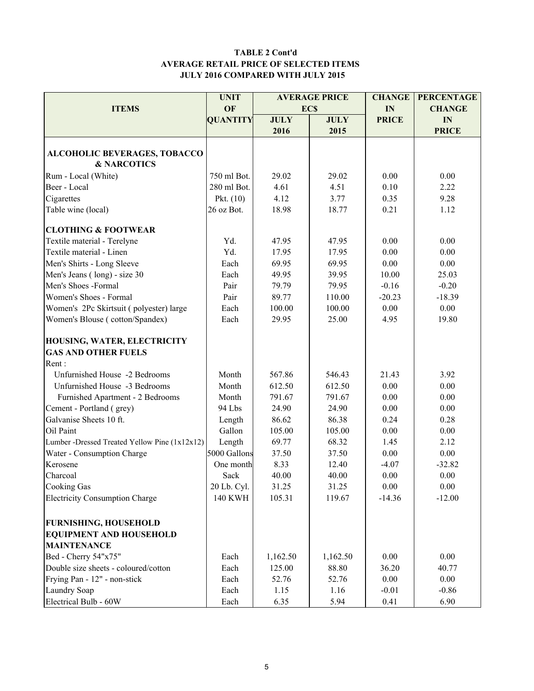#### TABLE 2 Cont'd AVERAGE RETAIL PRICE OF SELECTED ITEMS JULY 2016 COMPARED WITH JULY 2015

|                                               | <b>UNIT</b>     |             | <b>AVERAGE PRICE</b> | <b>CHANGE</b> | <b>PERCENTAGE</b> |  |
|-----------------------------------------------|-----------------|-------------|----------------------|---------------|-------------------|--|
| <b>ITEMS</b>                                  | OF              |             | <b>ECS</b>           | IN            | <b>CHANGE</b>     |  |
|                                               | <b>QUANTITY</b> | <b>JULY</b> | <b>JULY</b>          | <b>PRICE</b>  | IN                |  |
|                                               |                 | 2016        | 2015                 |               | <b>PRICE</b>      |  |
|                                               |                 |             |                      |               |                   |  |
| <b>ALCOHOLIC BEVERAGES, TOBACCO</b>           |                 |             |                      |               |                   |  |
| <b>&amp; NARCOTICS</b>                        |                 |             |                      |               |                   |  |
| Rum - Local (White)                           | 750 ml Bot.     | 29.02       | 29.02                | 0.00          | 0.00              |  |
| Beer - Local                                  | 280 ml Bot.     | 4.61        | 4.51                 | 0.10          | 2.22              |  |
| Cigarettes                                    | Pkt. $(10)$     | 4.12        | 3.77                 | 0.35          | 9.28              |  |
| Table wine (local)                            | 26 oz Bot.      | 18.98       | 18.77                | 0.21          | 1.12              |  |
| <b>CLOTHING &amp; FOOTWEAR</b>                |                 |             |                      |               |                   |  |
| Textile material - Terelyne                   | Yd.             | 47.95       | 47.95                | 0.00          | 0.00              |  |
| Textile material - Linen                      | Yd.             | 17.95       | 17.95                | 0.00          | 0.00              |  |
| Men's Shirts - Long Sleeve                    | Each            | 69.95       | 69.95                | 0.00          | 0.00              |  |
| Men's Jeans (long) - size 30                  | Each            | 49.95       | 39.95                | 10.00         | 25.03             |  |
| Men's Shoes -Formal                           | Pair            | 79.79       | 79.95                | $-0.16$       | $-0.20$           |  |
| Women's Shoes - Formal                        | Pair            | 89.77       | 110.00               | $-20.23$      | $-18.39$          |  |
| Women's 2Pc Skirtsuit (polyester) large       | Each            | 100.00      | 100.00               | 0.00          | 0.00              |  |
| Women's Blouse (cotton/Spandex)               | Each            | 29.95       | 25.00                | 4.95          | 19.80             |  |
| HOUSING, WATER, ELECTRICITY                   |                 |             |                      |               |                   |  |
| <b>GAS AND OTHER FUELS</b>                    |                 |             |                      |               |                   |  |
| Rent:                                         |                 |             |                      |               |                   |  |
| Unfurnished House -2 Bedrooms                 | Month           | 567.86      | 546.43               | 21.43         | 3.92              |  |
| Unfurnished House -3 Bedrooms                 | Month           | 612.50      | 612.50               | 0.00          | 0.00              |  |
| Furnished Apartment - 2 Bedrooms              | Month           | 791.67      | 791.67               | 0.00          | 0.00              |  |
| Cement - Portland (grey)                      | 94 Lbs          | 24.90       | 24.90                | 0.00          | 0.00              |  |
| Galvanise Sheets 10 ft.                       | Length          | 86.62       | 86.38                | 0.24          | 0.28              |  |
| Oil Paint                                     | Gallon          | 105.00      | 105.00               | 0.00          | 0.00              |  |
| Lumber -Dressed Treated Yellow Pine (1x12x12) | Length          | 69.77       | 68.32                | 1.45          | 2.12              |  |
| Water - Consumption Charge                    | 5000 Gallons    | 37.50       | 37.50                | 0.00          | 0.00              |  |
| Kerosene                                      | One month       | 8.33        | 12.40                | $-4.07$       | $-32.82$          |  |
| Charcoal                                      | Sack            | 40.00       | 40.00                | 0.00          | 0.00              |  |
| <b>Cooking Gas</b>                            | 20 Lb. Cyl.     | 31.25       | 31.25                | 0.00          | 0.00              |  |
| <b>Electricity Consumption Charge</b>         | <b>140 KWH</b>  | 105.31      | 119.67               | $-14.36$      | $-12.00$          |  |
|                                               |                 |             |                      |               |                   |  |
| <b>FURNISHING, HOUSEHOLD</b>                  |                 |             |                      |               |                   |  |
| <b>EQUIPMENT AND HOUSEHOLD</b>                |                 |             |                      |               |                   |  |
| <b>MAINTENANCE</b>                            |                 |             |                      |               |                   |  |
| Bed - Cherry 54"x75"                          | Each            | 1,162.50    | 1,162.50             | 0.00          | 0.00              |  |
| Double size sheets - coloured/cotton          | Each            | 125.00      | 88.80                | 36.20         | 40.77             |  |
| Frying Pan - 12" - non-stick                  | Each            | 52.76       | 52.76                | 0.00          | 0.00              |  |
| Laundry Soap                                  | Each            | 1.15        | 1.16                 | $-0.01$       | $-0.86$           |  |
| Electrical Bulb - 60W                         | Each            | 6.35        | 5.94                 | 0.41          | 6.90              |  |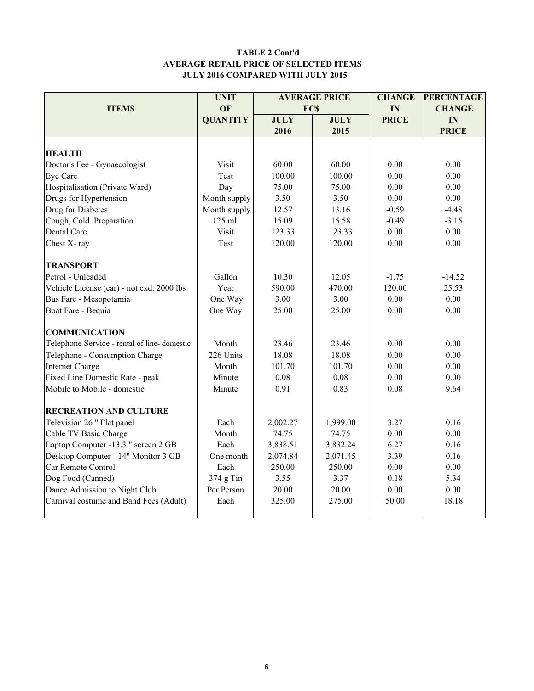#### TABLE 2 Cont'd AVERAGE RETAIL PRICE OF SELECTED ITEMS JULY 2016 COMPARED WITH JULY 2015

|                                                  | <b>UNIT</b>     |             | <b>AVERAGE PRICE</b> | <b>CHANGE</b> | <b>PERCENTAGE</b> |
|--------------------------------------------------|-----------------|-------------|----------------------|---------------|-------------------|
| <b>ITEMS</b>                                     | <b>OF</b>       | <b>ECS</b>  |                      | IN            | <b>CHANGE</b>     |
|                                                  | <b>QUANTITY</b> | <b>JULY</b> | <b>JULY</b>          | <b>PRICE</b>  | IN                |
|                                                  |                 | 2016        | 2015                 |               | <b>PRICE</b>      |
|                                                  |                 |             |                      |               |                   |
| <b>HEALTH</b>                                    |                 |             |                      |               |                   |
| Doctor's Fee - Gynaecologist                     | Visit           | 60.00       | 60.00                | 0.00          | 0.00              |
| Eye Care                                         | Test            | 100.00      | 100.00               | 0.00          | 0.00              |
| Hospitalisation (Private Ward)                   | Day             | 75.00       | 75.00                | 0.00          | 0.00              |
| Drugs for Hypertension                           | Month supply    | 3.50        | 3.50                 | 0.00          | 0.00              |
| Drug for Diabetes                                | Month supply    | 12.57       | 13.16                | $-0.59$       | $-4.48$           |
| Cough, Cold Preparation                          | 125 ml.         | 15.09       | 15.58                | $-0.49$       | $-3.15$           |
| Dental Care                                      | Visit           | 123.33      | 123.33               | 0.00          | 0.00              |
| Chest X-ray                                      | Test            | 120.00      | 120.00               | 0.00          | 0.00              |
| <b>TRANSPORT</b>                                 |                 |             |                      |               |                   |
| Petrol - Unleaded                                | Gallon          | 10.30       | 12.05                | $-1.75$       | $-14.52$          |
| Vehicle License (car) - not exd. 2000 lbs        | Year            | 590.00      | 470.00               | 120.00        | 25.53             |
| Bus Fare - Mesopotamia                           | One Way         | 3.00        | 3.00                 | 0.00          | 0.00              |
| Boat Fare - Bequia                               | One Way         | 25.00       | 25.00                | 0.00          | 0.00              |
| <b>COMMUNICATION</b>                             |                 |             |                      |               |                   |
| Telephone Service - rental of line-domestic      | Month           | 23.46       | 23.46                | 0.00          | 0.00              |
| Telephone - Consumption Charge                   | 226 Units       | 18.08       | 18.08                | 0.00          | 0.00              |
| <b>Internet Charge</b>                           | Month           | 101.70      | 101.70               | 0.00          | 0.00              |
| Fixed Line Domestic Rate - peak                  | Minute          | 0.08        | 0.08                 | 0.00          | 0.00              |
| Mobile to Mobile - domestic                      | Minute          | 0.91        | 0.83                 | 0.08          | 9.64              |
| <b>RECREATION AND CULTURE</b>                    |                 |             |                      |               |                   |
| Television 26 " Flat panel                       | Each            | 2,002.27    | 1,999.00             | 3.27          | 0.16              |
| Cable TV Basic Charge                            | Month           | 74.75       | 74.75                | 0.00          | $0.00\,$          |
| Laptop Computer -13.3 " screen 2 GB              | Each            | 3,838.51    | 3,832.24             | 6.27          | 0.16              |
| Desktop Computer - 14" Monitor 3 GB<br>One month |                 | 2,074.84    | 2,071.45             | 3.39          | 0.16              |
| Car Remote Control<br>Each                       |                 | 250.00      | 250.00               | 0.00          | 0.00              |
| Dog Food (Canned)                                | $374$ g Tin     | 3.55        | 3.37                 | 0.18          | 5.34              |
| Dance Admission to Night Club                    | Per Person      | 20.00       | 20.00                | 0.00          | 0.00              |
| Carnival costume and Band Fees (Adult)           | Each            | 325.00      | 275.00               | 50.00         | 18.18             |
|                                                  |                 |             |                      |               |                   |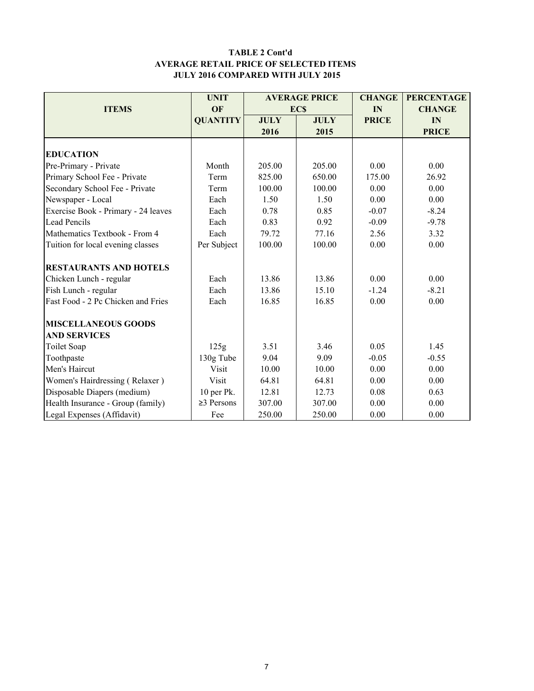#### TABLE 2 Cont'd AVERAGE RETAIL PRICE OF SELECTED ITEMS JULY 2016 COMPARED WITH JULY 2015

|                                     | <b>UNIT</b>      |             | <b>AVERAGE PRICE</b> | <b>CHANGE</b> | <b>PERCENTAGE</b> |
|-------------------------------------|------------------|-------------|----------------------|---------------|-------------------|
| <b>ITEMS</b>                        | OF               |             | <b>ECS</b>           | IN            | <b>CHANGE</b>     |
|                                     | <b>QUANTITY</b>  | <b>JULY</b> | <b>JULY</b>          | <b>PRICE</b>  | IN                |
|                                     |                  | 2016        | 2015                 |               | <b>PRICE</b>      |
|                                     |                  |             |                      |               |                   |
| <b>EDUCATION</b>                    |                  |             |                      |               |                   |
| Pre-Primary - Private               | Month            | 205.00      | 205.00               | 0.00          | 0.00              |
| Primary School Fee - Private        | Term             | 825.00      | 650.00               | 175.00        | 26.92             |
| Secondary School Fee - Private      | Term             | 100.00      | 100.00               | 0.00          | 0.00              |
| Newspaper - Local                   | Each             | 1.50        | 1.50                 | 0.00          | 0.00              |
| Exercise Book - Primary - 24 leaves | Each             | 0.78        | 0.85                 | $-0.07$       | $-8.24$           |
| <b>Lead Pencils</b>                 | Each             | 0.83        | 0.92                 | $-0.09$       | $-9.78$           |
| Mathematics Textbook - From 4       | Each             | 79.72       | 77.16                | 2.56          | 3.32              |
| Tuition for local evening classes   | Per Subject      | 100.00      | 100.00               | 0.00          | 0.00              |
| <b>RESTAURANTS AND HOTELS</b>       |                  |             |                      |               |                   |
| Chicken Lunch - regular             | Each             | 13.86       | 13.86                | 0.00          | 0.00              |
| Fish Lunch - regular                | Each             | 13.86       | 15.10                | $-1.24$       | $-8.21$           |
| Fast Food - 2 Pc Chicken and Fries  | Each             | 16.85       | 16.85                | 0.00          | 0.00              |
| <b>MISCELLANEOUS GOODS</b>          |                  |             |                      |               |                   |
| <b>AND SERVICES</b>                 |                  |             |                      |               |                   |
| Toilet Soap                         | 125g             | 3.51        | 3.46                 | 0.05          | 1.45              |
| Toothpaste                          | 130g Tube        | 9.04        | 9.09                 | $-0.05$       | $-0.55$           |
| Men's Haircut                       | Visit            | 10.00       | 10.00                | 0.00          | 0.00              |
| Women's Hairdressing (Relaxer)      | Visit            | 64.81       | 64.81                | 0.00          | 0.00              |
| Disposable Diapers (medium)         | 10 per Pk.       | 12.81       | 12.73                | 0.08          | 0.63              |
| Health Insurance - Group (family)   | $\geq$ 3 Persons | 307.00      | 307.00               | 0.00          | 0.00              |
| Legal Expenses (Affidavit)          | Fee              | 250.00      | 250.00               | 0.00          | 0.00              |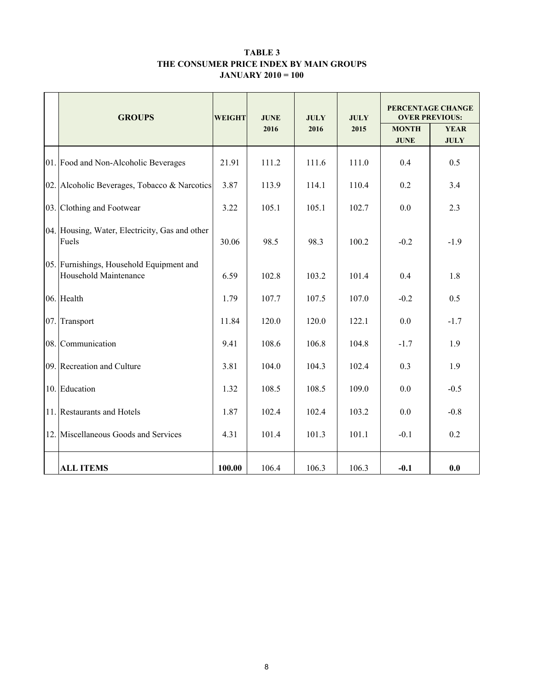#### TABLE 3 THE CONSUMER PRICE INDEX BY MAIN GROUPS JANUARY 2010 = 100

|     | <b>GROUPS</b>                                                     | <b>WEIGHT</b> | <b>JUNE</b> | <b>JULY</b> | <b>JULY</b> | PERCENTAGE CHANGE<br><b>OVER PREVIOUS:</b> |                            |  |
|-----|-------------------------------------------------------------------|---------------|-------------|-------------|-------------|--------------------------------------------|----------------------------|--|
|     |                                                                   |               | 2016        | 2016        | 2015        | <b>MONTH</b><br><b>JUNE</b>                | <b>YEAR</b><br><b>JULY</b> |  |
|     | 01. Food and Non-Alcoholic Beverages                              | 21.91         | 111.2       | 111.6       | 111.0       | 0.4                                        | 0.5                        |  |
|     | 02. Alcoholic Beverages, Tobacco & Narcotics                      | 3.87          | 113.9       | 114.1       | 110.4       | 0.2                                        | 3.4                        |  |
|     | 03. Clothing and Footwear                                         | 3.22          | 105.1       | 105.1       | 102.7       | 0.0                                        | 2.3                        |  |
|     | 04. Housing, Water, Electricity, Gas and other<br>Fuels           | 30.06         | 98.5        | 98.3        | 100.2       | $-0.2$                                     | $-1.9$                     |  |
|     | 05. Furnishings, Household Equipment and<br>Household Maintenance | 6.59          | 102.8       | 103.2       | 101.4       | 0.4                                        | 1.8                        |  |
|     | 06. Health                                                        | 1.79          | 107.7       | 107.5       | 107.0       | $-0.2$                                     | 0.5                        |  |
| 07. | Transport                                                         | 11.84         | 120.0       | 120.0       | 122.1       | 0.0                                        | $-1.7$                     |  |
|     | 08. Communication                                                 | 9.41          | 108.6       | 106.8       | 104.8       | $-1.7$                                     | 1.9                        |  |
|     | 09. Recreation and Culture                                        | 3.81          | 104.0       | 104.3       | 102.4       | 0.3                                        | 1.9                        |  |
| 10. | Education                                                         | 1.32          | 108.5       | 108.5       | 109.0       | 0.0                                        | $-0.5$                     |  |
|     | 11. Restaurants and Hotels                                        | 1.87          | 102.4       | 102.4       | 103.2       | 0.0                                        | $-0.8$                     |  |
| 12. | Miscellaneous Goods and Services                                  | 4.31          | 101.4       | 101.3       | 101.1       | $-0.1$                                     | 0.2                        |  |
|     | <b>ALL ITEMS</b>                                                  | 100.00        | 106.4       | 106.3       | 106.3       | $-0.1$                                     | 0.0                        |  |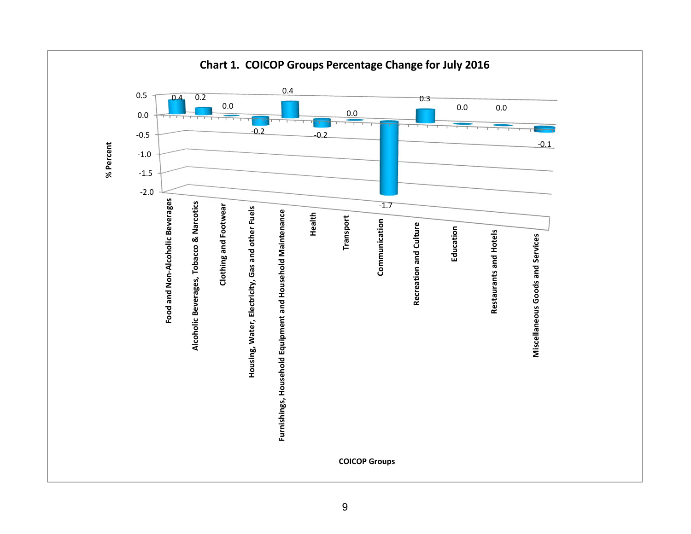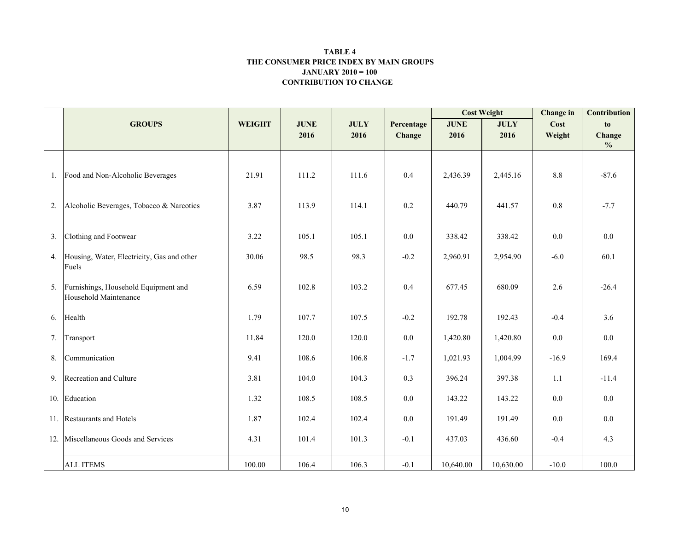#### CONTRIBUTION TO CHANGE TABLE 4 THE CONSUMER PRICE INDEX BY MAIN GROUPSJANUARY 2010 = 100

|     |                                                               |               |             |             |            | <b>Cost Weight</b> |             | <b>Change</b> in | <b>Contribution</b>     |
|-----|---------------------------------------------------------------|---------------|-------------|-------------|------------|--------------------|-------------|------------------|-------------------------|
|     | <b>GROUPS</b>                                                 | <b>WEIGHT</b> | <b>JUNE</b> | <b>JULY</b> | Percentage | <b>JUNE</b>        | <b>JULY</b> | Cost             | to                      |
|     |                                                               |               | 2016        | 2016        | Change     | 2016               | 2016        | Weight           | Change<br>$\frac{0}{0}$ |
|     |                                                               |               |             |             |            |                    |             |                  |                         |
|     | 1. Food and Non-Alcoholic Beverages                           | 21.91         | 111.2       | 111.6       | 0.4        | 2,436.39           | 2,445.16    | 8.8              | $-87.6$                 |
| 2.  | Alcoholic Beverages, Tobacco & Narcotics                      | 3.87          | 113.9       | 114.1       | 0.2        | 440.79             | 441.57      | 0.8              | $-7.7$                  |
| 3.  | Clothing and Footwear                                         | 3.22          | 105.1       | 105.1       | $0.0\,$    | 338.42             | 338.42      | $0.0\,$          | 0.0                     |
| 4.  | Housing, Water, Electricity, Gas and other<br>Fuels           | 30.06         | 98.5        | 98.3        | $-0.2$     | 2,960.91           | 2,954.90    | $-6.0$           | 60.1                    |
| 5.  | Furnishings, Household Equipment and<br>Household Maintenance | 6.59          | 102.8       | 103.2       | 0.4        | 677.45             | 680.09      | 2.6              | $-26.4$                 |
| 6.  | Health                                                        | 1.79          | 107.7       | 107.5       | $-0.2$     | 192.78             | 192.43      | $-0.4$           | 3.6                     |
| 7.  | Transport                                                     | 11.84         | 120.0       | 120.0       | $0.0\,$    | 1,420.80           | 1,420.80    | 0.0              | 0.0                     |
| 8.  | Communication                                                 | 9.41          | 108.6       | 106.8       | $-1.7$     | 1,021.93           | 1,004.99    | $-16.9$          | 169.4                   |
| 9.  | Recreation and Culture                                        | 3.81          | 104.0       | 104.3       | 0.3        | 396.24             | 397.38      | 1.1              | $-11.4$                 |
|     | 10. Education                                                 | 1.32          | 108.5       | 108.5       | $0.0\,$    | 143.22             | 143.22      | 0.0              | 0.0                     |
|     | 11. Restaurants and Hotels                                    | 1.87          | 102.4       | 102.4       | $0.0\,$    | 191.49             | 191.49      | 0.0              | 0.0                     |
| 12. | Miscellaneous Goods and Services                              | 4.31          | 101.4       | 101.3       | $-0.1$     | 437.03             | 436.60      | $-0.4$           | 4.3                     |
|     | <b>ALL ITEMS</b>                                              | 100.00        | 106.4       | 106.3       | $-0.1$     | 10,640.00          | 10,630.00   | $-10.0$          | 100.0                   |